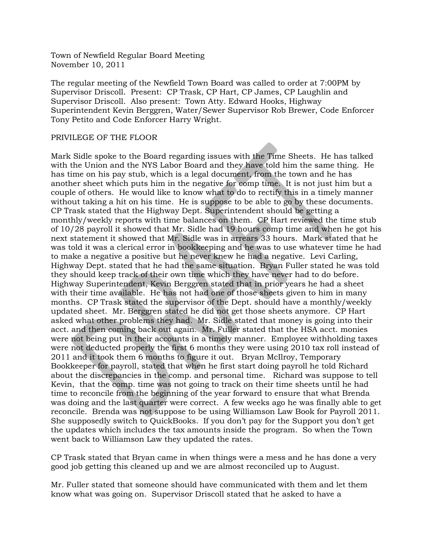The regular meeting of the Newfield Town Board was called to order at 7:00PM by Supervisor Driscoll. Present: CP Trask, CP Hart, CP James, CP Laughlin and Supervisor Driscoll. Also present: Town Atty. Edward Hooks, Highway Superintendent Kevin Berggren, Water/Sewer Supervisor Rob Brewer, Code Enforcer Tony Petito and Code Enforcer Harry Wright.

#### PRIVILEGE OF THE FLOOR

Mark Sidle spoke to the Board regarding issues with the Time Sheets. He has talked with the Union and the NYS Labor Board and they have told him the same thing. He has time on his pay stub, which is a legal document, from the town and he has another sheet which puts him in the negative for comp time. It is not just him but a couple of others. He would like to know what to do to rectify this in a timely manner without taking a hit on his time. He is suppose to be able to go by these documents. CP Trask stated that the Highway Dept. Superintendent should be getting a monthly/weekly reports with time balances on them. CP Hart reviewed the time stub of 10/28 payroll it showed that Mr. Sidle had 19 hours comp time and when he got his next statement it showed that Mr. Sidle was in arrears 33 hours. Mark stated that he was told it was a clerical error in bookkeeping and he was to use whatever time he had to make a negative a positive but he never knew he had a negative. Levi Carling, Highway Dept. stated that he had the same situation. Bryan Fuller stated he was told they should keep track of their own time which they have never had to do before. Highway Superintendent, Kevin Berggren stated that in prior years he had a sheet with their time available. He has not had one of those sheets given to him in many months. CP Trask stated the supervisor of the Dept. should have a monthly/weekly updated sheet. Mr. Berggren stated he did not get those sheets anymore. CP Hart asked what other problems they had. Mr. Sidle stated that money is going into their acct. and then coming back out again. Mr. Fuller stated that the HSA acct. monies were not being put in their accounts in a timely manner. Employee withholding taxes were not deducted properly the first 6 months they were using 2010 tax roll instead of 2011 and it took them 6 months to figure it out. Bryan McIlroy, Temporary Bookkeeper for payroll, stated that when he first start doing payroll he told Richard about the discrepancies in the comp. and personal time. Richard was suppose to tell Kevin, that the comp. time was not going to track on their time sheets until he had time to reconcile from the beginning of the year forward to ensure that what Brenda was doing and the last quarter were correct. A few weeks ago he was finally able to get reconcile. Brenda was not suppose to be using Williamson Law Book for Payroll 2011. She supposedly switch to QuickBooks. If you don't pay for the Support you don't get the updates which includes the tax amounts inside the program. So when the Town went back to Williamson Law they updated the rates.

CP Trask stated that Bryan came in when things were a mess and he has done a very good job getting this cleaned up and we are almost reconciled up to August.

Mr. Fuller stated that someone should have communicated with them and let them know what was going on. Supervisor Driscoll stated that he asked to have a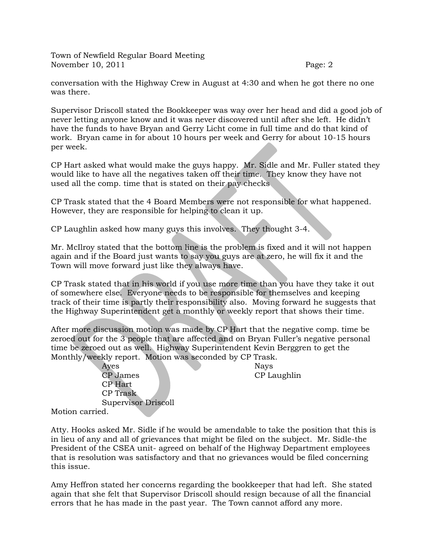conversation with the Highway Crew in August at 4:30 and when he got there no one was there.

Supervisor Driscoll stated the Bookkeeper was way over her head and did a good job of never letting anyone know and it was never discovered until after she left. He didn't have the funds to have Bryan and Gerry Licht come in full time and do that kind of work. Bryan came in for about 10 hours per week and Gerry for about 10-15 hours per week.

CP Hart asked what would make the guys happy. Mr. Sidle and Mr. Fuller stated they would like to have all the negatives taken off their time. They know they have not used all the comp. time that is stated on their pay checks

CP Trask stated that the 4 Board Members were not responsible for what happened. However, they are responsible for helping to clean it up.

CP Laughlin asked how many guys this involves. They thought 3-4.

Mr. McIlroy stated that the bottom line is the problem is fixed and it will not happen again and if the Board just wants to say you guys are at zero, he will fix it and the Town will move forward just like they always have.

CP Trask stated that in his world if you use more time than you have they take it out of somewhere else. Everyone needs to be responsible for themselves and keeping track of their time is partly their responsibility also. Moving forward he suggests that the Highway Superintendent get a monthly or weekly report that shows their time.

After more discussion motion was made by CP Hart that the negative comp. time be zeroed out for the 3 people that are affected and on Bryan Fuller's negative personal time be zeroed out as well. Highway Superintendent Kevin Berggren to get the Monthly/weekly report. Motion was seconded by CP Trask.

Ayes Nays CP James CP Laughlin CP Hart CP Trask Supervisor Driscoll

Motion carried.

Atty. Hooks asked Mr. Sidle if he would be amendable to take the position that this is in lieu of any and all of grievances that might be filed on the subject. Mr. Sidle-the President of the CSEA unit- agreed on behalf of the Highway Department employees that is resolution was satisfactory and that no grievances would be filed concerning this issue.

Amy Heffron stated her concerns regarding the bookkeeper that had left. She stated again that she felt that Supervisor Driscoll should resign because of all the financial errors that he has made in the past year. The Town cannot afford any more.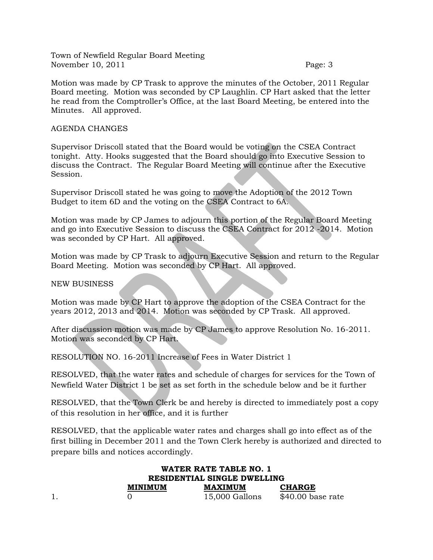Motion was made by CP Trask to approve the minutes of the October, 2011 Regular Board meeting. Motion was seconded by CP Laughlin. CP Hart asked that the letter he read from the Comptroller's Office, at the last Board Meeting, be entered into the Minutes. All approved.

#### AGENDA CHANGES

Supervisor Driscoll stated that the Board would be voting on the CSEA Contract tonight. Atty. Hooks suggested that the Board should go into Executive Session to discuss the Contract. The Regular Board Meeting will continue after the Executive Session.

Supervisor Driscoll stated he was going to move the Adoption of the 2012 Town Budget to item 6D and the voting on the CSEA Contract to 6A.

Motion was made by CP James to adjourn this portion of the Regular Board Meeting and go into Executive Session to discuss the CSEA Contract for 2012 -2014. Motion was seconded by CP Hart. All approved.

Motion was made by CP Trask to adjourn Executive Session and return to the Regular Board Meeting. Motion was seconded by CP Hart. All approved.

NEW BUSINESS

Motion was made by CP Hart to approve the adoption of the CSEA Contract for the years 2012, 2013 and 2014. Motion was seconded by CP Trask. All approved.

After discussion motion was made by CP James to approve Resolution No. 16-2011. Motion was seconded by CP Hart.

RESOLUTION NO. 16-2011 Increase of Fees in Water District 1

RESOLVED, that the water rates and schedule of charges for services for the Town of Newfield Water District 1 be set as set forth in the schedule below and be it further

RESOLVED, that the Town Clerk be and hereby is directed to immediately post a copy of this resolution in her office, and it is further

RESOLVED, that the applicable water rates and charges shall go into effect as of the first billing in December 2011 and the Town Clerk hereby is authorized and directed to prepare bills and notices accordingly.

|                             | WATER RATE TABLE NO. 1 |                    |  |
|-----------------------------|------------------------|--------------------|--|
| RESIDENTIAL SINGLE DWELLING |                        |                    |  |
| <b>MINIMUM</b>              | <b>MAXIMUM</b>         | <b>CHARGE</b>      |  |
|                             | 15,000 Gallons         | $$40.00$ base rate |  |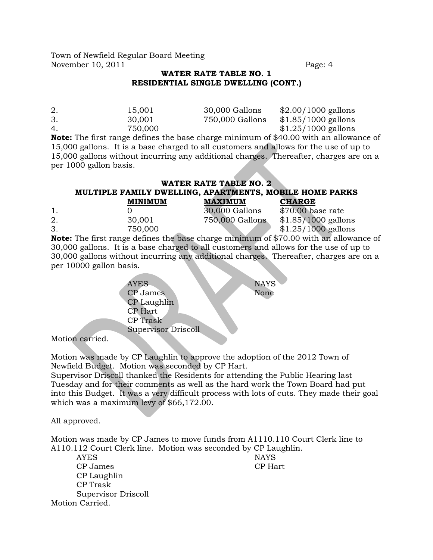### **WATER RATE TABLE NO. 1 RESIDENTIAL SINGLE DWELLING (CONT.)**

| 2. | 15.001  | 30,000 Gallons  | $$2.00/1000$ gallons |
|----|---------|-----------------|----------------------|
| 3. | 30.001  | 750,000 Gallons | $$1.85/1000$ gallons |
| 4. | 750,000 |                 | $$1.25/1000$ gallons |
|    |         |                 |                      |

**Note:** The first range defines the base charge minimum of \$40.00 with an allowance of 15,000 gallons. It is a base charged to all customers and allows for the use of up to 15,000 gallons without incurring any additional charges. Thereafter, charges are on a per 1000 gallon basis.

# **WATER RATE TABLE NO. 2 MULTIPLE FAMILY DWELLING, APARTMENTS, MOBILE HOME PARKS**

|    | <b>MINIMUM</b> | <b>MAXIMUM</b>  | <b>CHARGE</b>                                                                            |
|----|----------------|-----------------|------------------------------------------------------------------------------------------|
|    |                | 30,000 Gallons  | \$70.00 base rate                                                                        |
| 2. | 30,001         | 750,000 Gallons | $$1.85/1000$ gallons                                                                     |
| 3. | 750,000        |                 | $$1.25/1000$ gallons                                                                     |
|    |                |                 | Note: The first nonce defines the hope change minimum of $\phi$ 70.00 with an elleweeper |

**Note:** The first range defines the base charge minimum of \$70.00 with an allowance of 30,000 gallons. It is a base charged to all customers and allows for the use of up to 30,000 gallons without incurring any additional charges. Thereafter, charges are on a per 10000 gallon basis.

> AYES NAYS CP James None CP Laughlin CP Hart CP Trask Supervisor Driscoll

Motion carried.

Motion was made by CP Laughlin to approve the adoption of the 2012 Town of Newfield Budget. Motion was seconded by CP Hart.

Supervisor Driscoll thanked the Residents for attending the Public Hearing last Tuesday and for their comments as well as the hard work the Town Board had put into this Budget. It was a very difficult process with lots of cuts. They made their goal which was a maximum levy of \$66,172.00.

All approved.

Motion was made by CP James to move funds from A1110.110 Court Clerk line to A110.112 Court Clerk line. Motion was seconded by CP Laughlin.

AYES NAYS CP James CP Hart CP Laughlin CP Trask Supervisor Driscoll Motion Carried.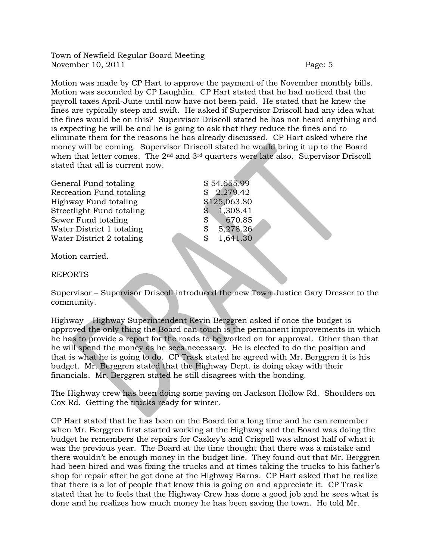Motion was made by CP Hart to approve the payment of the November monthly bills. Motion was seconded by CP Laughlin. CP Hart stated that he had noticed that the payroll taxes April-June until now have not been paid. He stated that he knew the fines are typically steep and swift. He asked if Supervisor Driscoll had any idea what the fines would be on this? Supervisor Driscoll stated he has not heard anything and is expecting he will be and he is going to ask that they reduce the fines and to eliminate them for the reasons he has already discussed. CP Hart asked where the money will be coming. Supervisor Driscoll stated he would bring it up to the Board when that letter comes. The 2<sup>nd</sup> and 3<sup>rd</sup> quarters were late also. Supervisor Driscoll stated that all is current now.

| General Fund totaling     | \$54,655.99   |
|---------------------------|---------------|
| Recreation Fund totaling  | \$2,279.42    |
| Highway Fund totaling     | \$125,063.80  |
| Streetlight Fund totaling | 1,308.41      |
| Sewer Fund totaling       | 670.85<br>\$  |
| Water District 1 totaling | 5,278.26<br>S |
| Water District 2 totaling | 1,641.30<br>S |
|                           |               |

Motion carried.

REPORTS

Supervisor – Supervisor Driscoll introduced the new Town Justice Gary Dresser to the community.

Highway – Highway Superintendent Kevin Berggren asked if once the budget is approved the only thing the Board can touch is the permanent improvements in which he has to provide a report for the roads to be worked on for approval. Other than that he will spend the money as he sees necessary. He is elected to do the position and that is what he is going to do. CP Trask stated he agreed with Mr. Berggren it is his budget. Mr. Berggren stated that the Highway Dept. is doing okay with their financials. Mr. Berggren stated he still disagrees with the bonding.

The Highway crew has been doing some paving on Jackson Hollow Rd. Shoulders on Cox Rd. Getting the trucks ready for winter.

CP Hart stated that he has been on the Board for a long time and he can remember when Mr. Berggren first started working at the Highway and the Board was doing the budget he remembers the repairs for Caskey's and Crispell was almost half of what it was the previous year. The Board at the time thought that there was a mistake and there wouldn't be enough money in the budget line. They found out that Mr. Berggren had been hired and was fixing the trucks and at times taking the trucks to his father's shop for repair after he got done at the Highway Barns. CP Hart asked that he realize that there is a lot of people that know this is going on and appreciate it. CP Trask stated that he to feels that the Highway Crew has done a good job and he sees what is done and he realizes how much money he has been saving the town. He told Mr.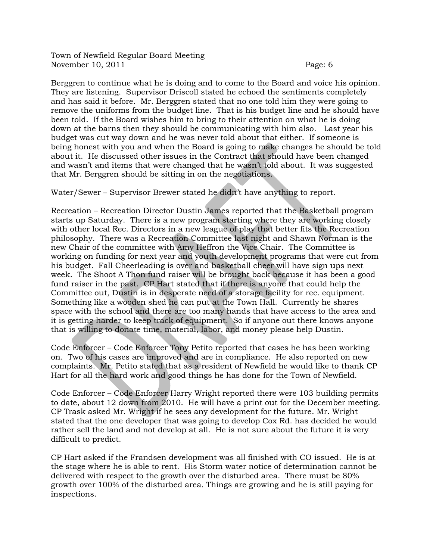Berggren to continue what he is doing and to come to the Board and voice his opinion. They are listening. Supervisor Driscoll stated he echoed the sentiments completely and has said it before. Mr. Berggren stated that no one told him they were going to remove the uniforms from the budget line. That is his budget line and he should have been told. If the Board wishes him to bring to their attention on what he is doing down at the barns then they should be communicating with him also. Last year his budget was cut way down and he was never told about that either. If someone is being honest with you and when the Board is going to make changes he should be told about it. He discussed other issues in the Contract that should have been changed and wasn't and items that were changed that he wasn't told about. It was suggested that Mr. Berggren should be sitting in on the negotiations.

Water/Sewer – Supervisor Brewer stated he didn't have anything to report.

Recreation – Recreation Director Dustin James reported that the Basketball program starts up Saturday. There is a new program starting where they are working closely with other local Rec. Directors in a new league of play that better fits the Recreation philosophy. There was a Recreation Committee last night and Shawn Norman is the new Chair of the committee with Amy Heffron the Vice Chair. The Committee is working on funding for next year and youth development programs that were cut from his budget. Fall Cheerleading is over and basketball cheer will have sign ups next week. The Shoot A Thon fund raiser will be brought back because it has been a good fund raiser in the past. CP Hart stated that if there is anyone that could help the Committee out, Dustin is in desperate need of a storage facility for rec. equipment. Something like a wooden shed he can put at the Town Hall. Currently he shares space with the school and there are too many hands that have access to the area and it is getting harder to keep track of equipment. So if anyone out there knows anyone that is willing to donate time, material, labor, and money please help Dustin.

Code Enforcer – Code Enforcer Tony Petito reported that cases he has been working on. Two of his cases are improved and are in compliance. He also reported on new complaints. Mr. Petito stated that as a resident of Newfield he would like to thank CP Hart for all the hard work and good things he has done for the Town of Newfield.

Code Enforcer – Code Enforcer Harry Wright reported there were 103 building permits to date, about 12 down from 2010. He will have a print out for the December meeting. CP Trask asked Mr. Wright if he sees any development for the future. Mr. Wright stated that the one developer that was going to develop Cox Rd. has decided he would rather sell the land and not develop at all. He is not sure about the future it is very difficult to predict.

CP Hart asked if the Frandsen development was all finished with CO issued. He is at the stage where he is able to rent. His Storm water notice of determination cannot be delivered with respect to the growth over the disturbed area. There must be 80% growth over 100% of the disturbed area. Things are growing and he is still paying for inspections.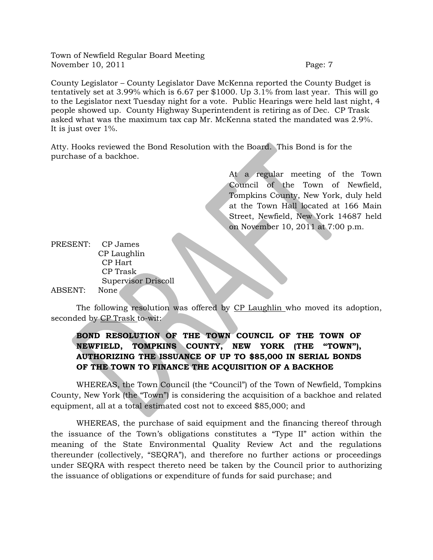County Legislator – County Legislator Dave McKenna reported the County Budget is tentatively set at 3.99% which is 6.67 per \$1000. Up 3.1% from last year. This will go to the Legislator next Tuesday night for a vote. Public Hearings were held last night, 4 people showed up. County Highway Superintendent is retiring as of Dec. CP Trask asked what was the maximum tax cap Mr. McKenna stated the mandated was 2.9%. It is just over 1%.

Atty. Hooks reviewed the Bond Resolution with the Board. This Bond is for the purchase of a backhoe.

> At a regular meeting of the Town Council of the Town of Newfield, Tompkins County, New York, duly held at the Town Hall located at 166 Main Street, Newfield, New York 14687 held on November 10, 2011 at 7:00 p.m.

PRESENT: CP James CP Laughlin CP Hart CP Trask Supervisor Driscoll ABSENT: None

The following resolution was offered by CP Laughlin who moved its adoption, seconded by CP Trask to-wit:

## **BOND RESOLUTION OF THE TOWN COUNCIL OF THE TOWN OF NEWFIELD, TOMPKINS COUNTY, NEW YORK (THE "TOWN"), AUTHORIZING THE ISSUANCE OF UP TO \$85,000 IN SERIAL BONDS OF THE TOWN TO FINANCE THE ACQUISITION OF A BACKHOE**

WHEREAS, the Town Council (the "Council") of the Town of Newfield, Tompkins County, New York (the "Town") is considering the acquisition of a backhoe and related equipment, all at a total estimated cost not to exceed \$85,000; and

WHEREAS, the purchase of said equipment and the financing thereof through the issuance of the Town's obligations constitutes a "Type II" action within the meaning of the State Environmental Quality Review Act and the regulations thereunder (collectively, "SEQRA"), and therefore no further actions or proceedings under SEQRA with respect thereto need be taken by the Council prior to authorizing the issuance of obligations or expenditure of funds for said purchase; and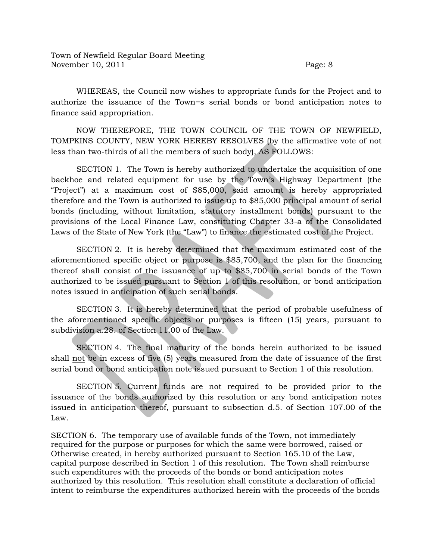WHEREAS, the Council now wishes to appropriate funds for the Project and to authorize the issuance of the Town=s serial bonds or bond anticipation notes to finance said appropriation.

NOW THEREFORE, THE TOWN COUNCIL OF THE TOWN OF NEWFIELD, TOMPKINS COUNTY, NEW YORK HEREBY RESOLVES (by the affirmative vote of not less than two-thirds of all the members of such body), AS FOLLOWS:

SECTION 1. The Town is hereby authorized to undertake the acquisition of one backhoe and related equipment for use by the Town's Highway Department (the "Project") at a maximum cost of \$85,000, said amount is hereby appropriated therefore and the Town is authorized to issue up to \$85,000 principal amount of serial bonds (including, without limitation, statutory installment bonds) pursuant to the provisions of the Local Finance Law, constituting Chapter 33-a of the Consolidated Laws of the State of New York (the "Law") to finance the estimated cost of the Project.

SECTION 2. It is hereby determined that the maximum estimated cost of the aforementioned specific object or purpose is \$85,700, and the plan for the financing thereof shall consist of the issuance of up to \$85,700 in serial bonds of the Town authorized to be issued pursuant to Section 1 of this resolution, or bond anticipation notes issued in anticipation of such serial bonds.

SECTION 3. It is hereby determined that the period of probable usefulness of the aforementioned specific objects or purposes is fifteen (15) years, pursuant to subdivision a.28. of Section 11.00 of the Law.

SECTION 4. The final maturity of the bonds herein authorized to be issued shall not be in excess of five (5) years measured from the date of issuance of the first serial bond or bond anticipation note issued pursuant to Section 1 of this resolution.

SECTION 5. Current funds are not required to be provided prior to the issuance of the bonds authorized by this resolution or any bond anticipation notes issued in anticipation thereof, pursuant to subsection d.5. of Section 107.00 of the Law.

SECTION 6. The temporary use of available funds of the Town, not immediately required for the purpose or purposes for which the same were borrowed, raised or Otherwise created, in hereby authorized pursuant to Section 165.10 of the Law, capital purpose described in Section 1 of this resolution. The Town shall reimburse such expenditures with the proceeds of the bonds or bond anticipation notes authorized by this resolution. This resolution shall constitute a declaration of official intent to reimburse the expenditures authorized herein with the proceeds of the bonds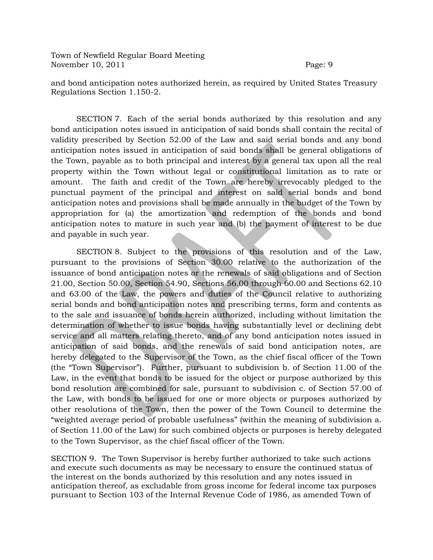and bond anticipation notes authorized herein, as required by United States Treasury Regulations Section 1.150-2.

SECTION 7. Each of the serial bonds authorized by this resolution and any bond anticipation notes issued in anticipation of said bonds shall contain the recital of validity prescribed by Section 52.00 of the Law and said serial bonds and any bond anticipation notes issued in anticipation of said bonds shall be general obligations of the Town, payable as to both principal and interest by a general tax upon all the real property within the Town without legal or constitutional limitation as to rate or amount. The faith and credit of the Town are hereby irrevocably pledged to the punctual payment of the principal and interest on said serial bonds and bond anticipation notes and provisions shall be made annually in the budget of the Town by appropriation for (a) the amortization and redemption of the bonds and bond anticipation notes to mature in such year and (b) the payment of interest to be due and payable in such year.

SECTION 8. Subject to the provisions of this resolution and of the Law, pursuant to the provisions of Section 30.00 relative to the authorization of the issuance of bond anticipation notes or the renewals of said obligations and of Section 21.00, Section 50.00, Section 54.90, Sections 56.00 through 60.00 and Sections 62.10 and 63.00 of the Law, the powers and duties of the Council relative to authorizing serial bonds and bond anticipation notes and prescribing terms, form and contents as to the sale and issuance of bonds herein authorized, including without limitation the determination of whether to issue bonds having substantially level or declining debt service and all matters relating thereto, and of any bond anticipation notes issued in anticipation of said bonds, and the renewals of said bond anticipation notes, are hereby delegated to the Supervisor of the Town, as the chief fiscal officer of the Town (the "Town Supervisor"). Further, pursuant to subdivision b. of Section 11.00 of the Law, in the event that bonds to be issued for the object or purpose authorized by this bond resolution are combined for sale, pursuant to subdivision c. of Section 57.00 of the Law, with bonds to be issued for one or more objects or purposes authorized by other resolutions of the Town, then the power of the Town Council to determine the "weighted average period of probable usefulness" (within the meaning of subdivision a. of Section 11.00 of the Law) for such combined objects or purposes is hereby delegated to the Town Supervisor, as the chief fiscal officer of the Town.

SECTION 9. The Town Supervisor is hereby further authorized to take such actions and execute such documents as may be necessary to ensure the continued status of the interest on the bonds authorized by this resolution and any notes issued in anticipation thereof, as excludable from gross income for federal income tax purposes pursuant to Section 103 of the Internal Revenue Code of 1986, as amended Town of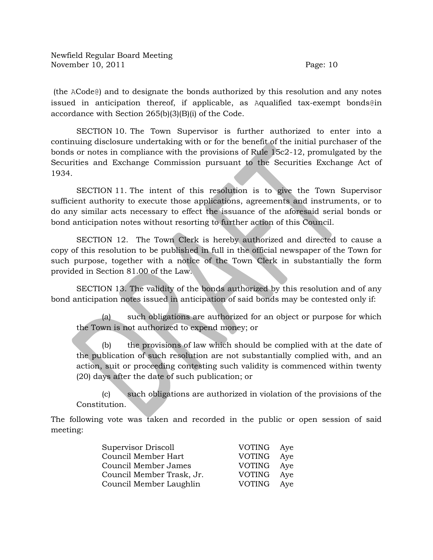$(the ACode@)$  and to designate the bonds authorized by this resolution and any notes issued in anticipation thereof, if applicable, as Aqualified tax-exempt bonds@in accordance with Section 265(b)(3)(B)(i) of the Code.

SECTION 10. The Town Supervisor is further authorized to enter into a continuing disclosure undertaking with or for the benefit of the initial purchaser of the bonds or notes in compliance with the provisions of Rule 15c2-12, promulgated by the Securities and Exchange Commission pursuant to the Securities Exchange Act of 1934.

SECTION 11. The intent of this resolution is to give the Town Supervisor sufficient authority to execute those applications, agreements and instruments, or to do any similar acts necessary to effect the issuance of the aforesaid serial bonds or bond anticipation notes without resorting to further action of this Council.

SECTION 12. The Town Clerk is hereby authorized and directed to cause a copy of this resolution to be published in full in the official newspaper of the Town for such purpose, together with a notice of the Town Clerk in substantially the form provided in Section 81.00 of the Law.

SECTION 13. The validity of the bonds authorized by this resolution and of any bond anticipation notes issued in anticipation of said bonds may be contested only if:

(a) such obligations are authorized for an object or purpose for which the Town is not authorized to expend money; or

(b) the provisions of law which should be complied with at the date of the publication of such resolution are not substantially complied with, and an action, suit or proceeding contesting such validity is commenced within twenty (20) days after the date of such publication; or

(c) such obligations are authorized in violation of the provisions of the Constitution.

The following vote was taken and recorded in the public or open session of said meeting:

| Supervisor Driscoll       | VOTING Aye    |     |
|---------------------------|---------------|-----|
| Council Member Hart       | <b>VOTING</b> | Aye |
| Council Member James      | <b>VOTING</b> | Ave |
| Council Member Trask, Jr. | <b>VOTING</b> | Ave |
| Council Member Laughlin   | <b>VOTING</b> | Ave |